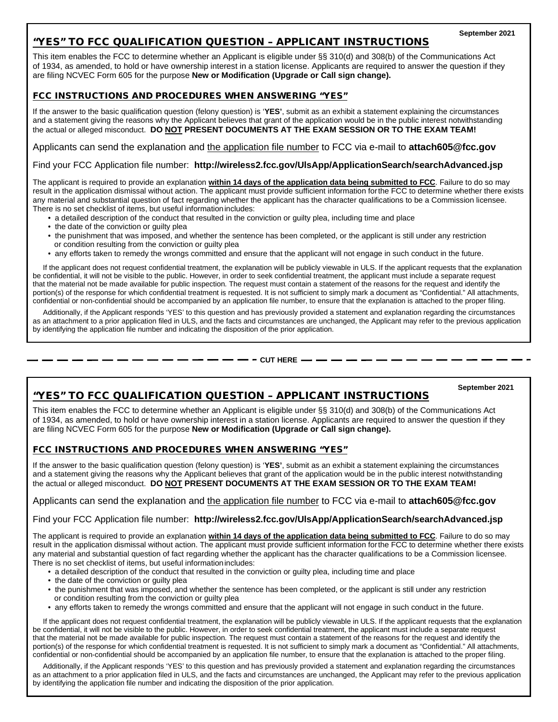## "YES" TO FCC QUALIFICATION QUESTION – APPLICANT INSTRUCTIONS

This item enables the FCC to determine whether an Applicant is eligible under §§ 310(d) and 308(b) of the Communications Act of 1934, as amended, to hold or have ownership interest in a station license. Applicants are required to answer the question if they are filing NCVEC Form 605 for the purpose **New or Modification (Upgrade or Call sign change).**

### FCC INSTRUCTIONS AND PROCEDURES WHEN ANSWERING "YES"

If the answer to the basic qualification question (felony question) is '**YES'**, submit as an exhibit a statement explaining the circumstances and a statement giving the reasons why the Applicant believes that grant of the application would be in the public interest notwithstanding the actual or alleged misconduct. **DO NOT PRESENT DOCUMENTS AT THE EXAM SESSION OR TO THE EXAM TEAM!**

Applicants can send the explanation and the application file number to FCC via e-mail to **[attach605@fcc.gov](mailto:attach605@fcc.gov)**

#### Find your FCC Application file number: **<http://wireless2.fcc.gov/UlsApp/ApplicationSearch/searchAdvanced.jsp>**

The applicant is required to provide an explanation **within 14 days of the application data being submitted to FCC**. Failure to do so may result in the application dismissal without action. The applicant must provide sufficient information forthe FCC to determine whether there exists any material and substantial question of fact regarding whether the applicant has the character qualifications to be a Commission licensee. There is no set checklist of items, but useful informationincludes:

- a detailed description of the conduct that resulted in the conviction or guilty plea, including time and place
- the date of the conviction or guilty plea
- the punishment that was imposed, and whether the sentence has been completed, or the applicant is still under any restriction or condition resulting from the conviction or guilty plea
- any efforts taken to remedy the wrongs committed and ensure that the applicant will not engage in such conduct in the future.

 If the applicant does not request confidential treatment, the explanation will be publicly viewable in ULS. If the applicant requests that the explanation be confidential, it will not be visible to the public. However, in order to seek confidential treatment, the applicant must include a separate request that the material not be made available for public inspection. The request must contain a statement of the reasons for the request and identify the portion(s) of the response for which confidential treatment is requested. It is not sufficient to simply mark a document as "Confidential." All attachments, confidential or non-confidential should be accompanied by an application file number, to ensure that the explanation is attached to the proper filing.

 Additionally, if the Applicant responds 'YES' to this question and has previously provided a statement and explanation regarding the circumstances as an attachment to a prior application filed in ULS, and the facts and circumstances are unchanged, the Applicant may refer to the previous application by identifying the application file number and indicating the disposition of the prior application.

#### **- — — - CUT HERE — -**

#### **September 2021**

## "YES" TO FCC QUALIFICATION QUESTION – APPLICANT INSTRUCTIONS

This item enables the FCC to determine whether an Applicant is eligible under §§ 310(d) and 308(b) of the Communications Act of 1934, as amended, to hold or have ownership interest in a station license. Applicants are required to answer the question if they are filing NCVEC Form 605 for the purpose **New or Modification (Upgrade or Call sign change).** 

### FCC INSTRUCTIONS AND PROCEDURES WHEN ANSWERING "YES"

If the answer to the basic qualification question (felony question) is '**YES'**, submit as an exhibit a statement explaining the circumstances and a statement giving the reasons why the Applicant believes that grant of the application would be in the public interest notwithstanding the actual or alleged misconduct. **DO NOT PRESENT DOCUMENTS AT THE EXAM SESSION OR TO THE EXAM TEAM!**

### Applicants can send the explanation and the application file number to FCC via e-mail to **[attach605@fcc.gov](mailto:attach605@fcc.gov)**

### Find your FCC Application file number: **<http://wireless2.fcc.gov/UlsApp/ApplicationSearch/searchAdvanced.jsp>**

The applicant is required to provide an explanation **within 14 days of the application data being submitted to FCC**. Failure to do so may result in the application dismissal without action. The applicant must provide sufficient information forthe FCC to determine whether there exists any material and substantial question of fact regarding whether the applicant has the character qualifications to be a Commission licensee. There is no set checklist of items, but useful informationincludes:

- a detailed description of the conduct that resulted in the conviction or guilty plea, including time and place
- the date of the conviction or guilty plea
- the punishment that was imposed, and whether the sentence has been completed, or the applicant is still under any restriction or condition resulting from the conviction or guilty plea
- any efforts taken to remedy the wrongs committed and ensure that the applicant will not engage in such conduct in the future.

 If the applicant does not request confidential treatment, the explanation will be publicly viewable in ULS. If the applicant requests that the explanation be confidential, it will not be visible to the public. However, in order to seek confidential treatment, the applicant must include a separate request that the material not be made available for public inspection. The request must contain a statement of the reasons for the request and identify the portion(s) of the response for which confidential treatment is requested. It is not sufficient to simply mark a document as "Confidential." All attachments, confidential or non-confidential should be accompanied by an application file number, to ensure that the explanation is attached to the proper filing.

 Additionally, if the Applicant responds 'YES' to this question and has previously provided a statement and explanation regarding the circumstances as an attachment to a prior application filed in ULS, and the facts and circumstances are unchanged, the Applicant may refer to the previous application by identifying the application file number and indicating the disposition of the prior application.